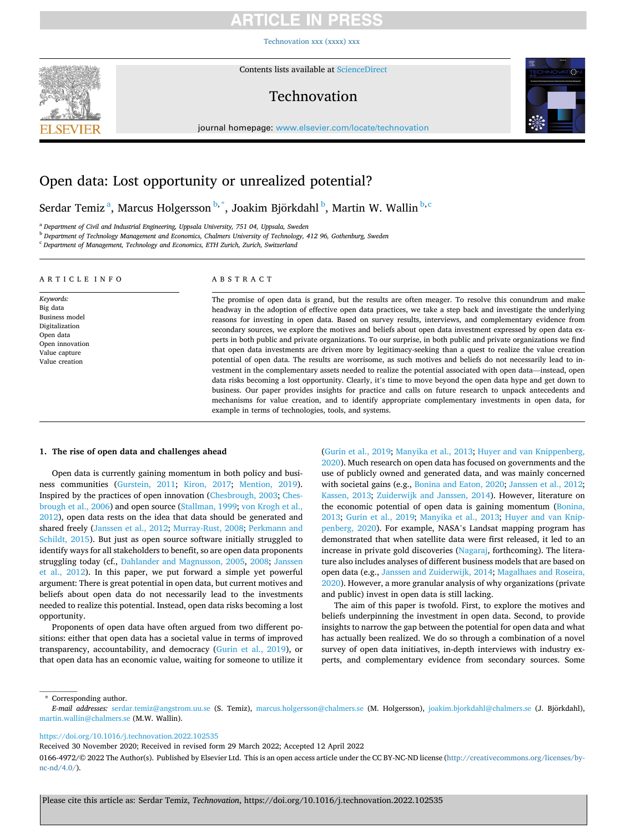### RTICLE IN PRE

[Technovation xxx \(xxxx\) xxx](https://doi.org/10.1016/j.technovation.2022.102535)



Contents lists available at [ScienceDirect](www.sciencedirect.com/science/journal/01664972)

### Technovation



journal homepage: [www.elsevier.com/locate/technovation](https://www.elsevier.com/locate/technovation) 

### Open data: Lost opportunity or unrealized potential?

### Serdar Temiz $^{\rm a}$ , Marcus Holgersson $^{\rm b, *}$ , Joakim Björkdahl $^{\rm b}$ , Martin W. Wallin $^{\rm b, c}$

<sup>a</sup> *Department of Civil and Industrial Engineering, Uppsala University, 751 04, Uppsala, Sweden* 

<sup>b</sup> *Department of Technology Management and Economics, Chalmers University of Technology, 412 96, Gothenburg, Sweden* 

<sup>c</sup> *Department of Management, Technology and Economics, ETH Zurich, Zurich, Switzerland* 

#### ARTICLE INFO

#### *Keywords:*  Big data Business model Digitalization Open data Open innovation Value capture Value creation

### ABSTRACT

The promise of open data is grand, but the results are often meager. To resolve this conundrum and make headway in the adoption of effective open data practices, we take a step back and investigate the underlying reasons for investing in open data. Based on survey results, interviews, and complementary evidence from secondary sources, we explore the motives and beliefs about open data investment expressed by open data experts in both public and private organizations. To our surprise, in both public and private organizations we find that open data investments are driven more by legitimacy-seeking than a quest to realize the value creation potential of open data. The results are worrisome, as such motives and beliefs do not necessarily lead to investment in the complementary assets needed to realize the potential associated with open data—instead, open data risks becoming a lost opportunity. Clearly, it's time to move beyond the open data hype and get down to business. Our paper provides insights for practice and calls on future research to unpack antecedents and mechanisms for value creation, and to identify appropriate complementary investments in open data, for example in terms of technologies, tools, and systems.

#### **1. The rise of open data and challenges ahead**

Open data is currently gaining momentum in both policy and business communities ([Gurstein, 2011](#page-6-0); [Kiron, 2017](#page-6-0); [Mention, 2019](#page-6-0)). Inspired by the practices of open innovation [\(Chesbrough, 2003; Ches](#page-6-0)[brough et al., 2006\)](#page-6-0) and open source ([Stallman, 1999; von Krogh et al.,](#page-6-0)  [2012\)](#page-6-0), open data rests on the idea that data should be generated and shared freely [\(Janssen et al., 2012](#page-6-0); [Murray-Rust, 2008](#page-6-0); [Perkmann and](#page-6-0)  [Schildt, 2015](#page-6-0)). But just as open source software initially struggled to identify ways for all stakeholders to benefit, so are open data proponents struggling today (cf., [Dahlander and Magnusson, 2005](#page-6-0), [2008](#page-6-0); [Janssen](#page-6-0)  [et al., 2012](#page-6-0)). In this paper, we put forward a simple yet powerful argument: There is great potential in open data, but current motives and beliefs about open data do not necessarily lead to the investments needed to realize this potential. Instead, open data risks becoming a lost opportunity.

Proponents of open data have often argued from two different positions: either that open data has a societal value in terms of improved transparency, accountability, and democracy [\(Gurin et al., 2019](#page-6-0)), or that open data has an economic value, waiting for someone to utilize it ([Gurin et al., 2019; Manyika et al., 2013; Huyer and van Knippenberg,](#page-6-0)  [2020\)](#page-6-0). Much research on open data has focused on governments and the use of publicly owned and generated data, and was mainly concerned with societal gains (e.g., [Bonina and Eaton, 2020; Janssen et al., 2012](#page-6-0); [Kassen, 2013;](#page-6-0) [Zuiderwijk and Janssen, 2014](#page-6-0)). However, literature on the economic potential of open data is gaining momentum ([Bonina,](#page-6-0)  [2013;](#page-6-0) [Gurin et al., 2019](#page-6-0); [Manyika et al., 2013](#page-6-0); [Huyer and van Knip](#page-6-0)[penberg, 2020\)](#page-6-0). For example, NASA's Landsat mapping program has demonstrated that when satellite data were first released, it led to an increase in private gold discoveries [\(Nagaraj,](#page-6-0) forthcoming). The literature also includes analyses of different business models that are based on open data (e.g., [Janssen and Zuiderwijk, 2014; Magalhaes and Roseira,](#page-6-0)  [2020\)](#page-6-0). However, a more granular analysis of why organizations (private and public) invest in open data is still lacking.

The aim of this paper is twofold. First, to explore the motives and beliefs underpinning the investment in open data. Second, to provide insights to narrow the gap between the potential for open data and what has actually been realized. We do so through a combination of a novel survey of open data initiatives, in-depth interviews with industry experts, and complementary evidence from secondary sources. Some

\* Corresponding author.

<https://doi.org/10.1016/j.technovation.2022.102535>

Received 30 November 2020; Received in revised form 29 March 2022; Accepted 12 April 2022

*E-mail addresses:* [serdar.temiz@angstrom.uu.se](mailto:serdar.temiz@angstrom.uu.se) (S. Temiz), [marcus.holgersson@chalmers.se](mailto:marcus.holgersson@chalmers.se) (M. Holgersson), [joakim.bjorkdahl@chalmers.se](mailto:joakim.bjorkdahl@chalmers.se) (J. Bjorkdahl), ¨ [martin.wallin@chalmers.se](mailto:martin.wallin@chalmers.se) (M.W. Wallin).

<sup>0166-4972/© 2022</sup> The Author(s). Published by Elsevier Ltd. This is an open access article under the CC BY-NC-ND license [\(http://creativecommons.org/licenses/by](http://creativecommons.org/licenses/by-nc-nd/4.0/) $nc\text{-}nd/4.0/$ ).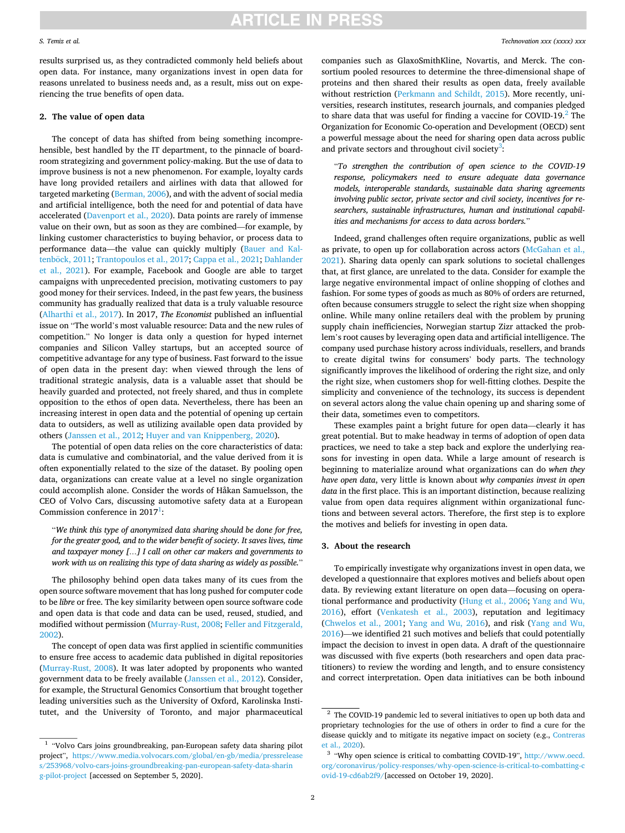#### *S. Temiz et al.*

results surprised us, as they contradicted commonly held beliefs about open data. For instance, many organizations invest in open data for reasons unrelated to business needs and, as a result, miss out on experiencing the true benefits of open data.

#### **2. The value of open data**

The concept of data has shifted from being something incomprehensible, best handled by the IT department, to the pinnacle of boardroom strategizing and government policy-making. But the use of data to improve business is not a new phenomenon. For example, loyalty cards have long provided retailers and airlines with data that allowed for targeted marketing [\(Berman, 2006](#page-6-0)), and with the advent of social media and artificial intelligence, both the need for and potential of data have accelerated ([Davenport et al., 2020\)](#page-6-0). Data points are rarely of immense value on their own, but as soon as they are combined—for example, by linking customer characteristics to buying behavior, or process data to performance data—the value can quickly multiply [\(Bauer and Kal-](#page-6-0)tenböck, 2011; [Trantopoulos et al., 2017](#page-6-0); Cappa et al., 2021; Dahlander [et al., 2021\)](#page-6-0). For example, Facebook and Google are able to target campaigns with unprecedented precision, motivating customers to pay good money for their services. Indeed, in the past few years, the business community has gradually realized that data is a truly valuable resource ([Alharthi et al., 2017\)](#page-6-0). In 2017, *The Economist* published an influential issue on "The world's most valuable resource: Data and the new rules of competition." No longer is data only a question for hyped internet companies and Silicon Valley startups, but an accepted source of competitive advantage for any type of business. Fast forward to the issue of open data in the present day: when viewed through the lens of traditional strategic analysis, data is a valuable asset that should be heavily guarded and protected, not freely shared, and thus in complete opposition to the ethos of open data. Nevertheless, there has been an increasing interest in open data and the potential of opening up certain data to outsiders, as well as utilizing available open data provided by others ([Janssen et al., 2012; Huyer and van Knippenberg, 2020\)](#page-6-0).

The potential of open data relies on the core characteristics of data: data is cumulative and combinatorial, and the value derived from it is often exponentially related to the size of the dataset. By pooling open data, organizations can create value at a level no single organization could accomplish alone. Consider the words of Håkan Samuelsson, the CEO of Volvo Cars, discussing automotive safety data at a European Commission conference in  $2017<sup>1</sup>$ :

"*We think this type of anonymized data sharing should be done for free, for the greater good, and to the wider benefit of society. It saves lives, time and taxpayer money […] I call on other car makers and governments to work with us on realizing this type of data sharing as widely as possible.*"

The philosophy behind open data takes many of its cues from the open source software movement that has long pushed for computer code to be *libre* or free. The key similarity between open source software code and open data is that code and data can be used, reused, studied, and modified without permission ([Murray-Rust, 2008](#page-6-0); [Feller and Fitzgerald,](#page-6-0)  [2002\)](#page-6-0).

The concept of open data was first applied in scientific communities to ensure free access to academic data published in digital repositories ([Murray-Rust, 2008\)](#page-6-0). It was later adopted by proponents who wanted government data to be freely available ([Janssen et al., 2012](#page-6-0)). Consider, for example, the Structural Genomics Consortium that brought together leading universities such as the University of Oxford, Karolinska Institutet, and the University of Toronto, and major pharmaceutical

companies such as GlaxoSmithKline, Novartis, and Merck. The consortium pooled resources to determine the three-dimensional shape of proteins and then shared their results as open data, freely available without restriction ([Perkmann and Schildt, 2015\)](#page-6-0). More recently, universities, research institutes, research journals, and companies pledged to share data that was useful for finding a vaccine for COVID-19. $^2$  The Organization for Economic Co-operation and Development (OECD) sent a powerful message about the need for sharing open data across public and private sectors and throughout civil society<sup>3</sup>:

"*To strengthen the contribution of open science to the COVID-19 response, policymakers need to ensure adequate data governance models, interoperable standards, sustainable data sharing agreements involving public sector, private sector and civil society, incentives for researchers, sustainable infrastructures, human and institutional capabilities and mechanisms for access to data across borders.*"

Indeed, grand challenges often require organizations, public as well as private, to open up for collaboration across actors [\(McGahan et al.,](#page-6-0)  [2021\)](#page-6-0). Sharing data openly can spark solutions to societal challenges that, at first glance, are unrelated to the data. Consider for example the large negative environmental impact of online shopping of clothes and fashion. For some types of goods as much as 80% of orders are returned, often because consumers struggle to select the right size when shopping online. While many online retailers deal with the problem by pruning supply chain inefficiencies, Norwegian startup Zizr attacked the problem's root causes by leveraging open data and artificial intelligence. The company used purchase history across individuals, resellers, and brands to create digital twins for consumers' body parts. The technology significantly improves the likelihood of ordering the right size, and only the right size, when customers shop for well-fitting clothes. Despite the simplicity and convenience of the technology, its success is dependent on several actors along the value chain opening up and sharing some of their data, sometimes even to competitors.

These examples paint a bright future for open data—clearly it has great potential. But to make headway in terms of adoption of open data practices, we need to take a step back and explore the underlying reasons for investing in open data. While a large amount of research is beginning to materialize around what organizations can do *when they have open data*, very little is known about *why companies invest in open data* in the first place. This is an important distinction, because realizing value from open data requires alignment within organizational functions and between several actors. Therefore, the first step is to explore the motives and beliefs for investing in open data.

#### **3. About the research**

To empirically investigate why organizations invest in open data, we developed a questionnaire that explores motives and beliefs about open data. By reviewing extant literature on open data—focusing on operational performance and productivity ([Hung et al., 2006;](#page-6-0) [Yang and Wu,](#page-6-0)  [2016\)](#page-6-0), effort ([Venkatesh et al., 2003](#page-6-0)), reputation and legitimacy ([Chwelos et al., 2001](#page-6-0); [Yang and Wu, 2016](#page-6-0)), and risk [\(Yang and Wu,](#page-6-0)  [2016\)](#page-6-0)—we identified 21 such motives and beliefs that could potentially impact the decision to invest in open data. A draft of the questionnaire was discussed with five experts (both researchers and open data practitioners) to review the wording and length, and to ensure consistency and correct interpretation. Open data initiatives can be both inbound

 $^{\rm 1}$  "Volvo Cars joins groundbreaking, pan-European safety data sharing pilot project", [https://www.media.volvocars.com/global/en-gb/media/pressrelease](https://www.media.volvocars.com/global/en-gb/media/pressreleases/253968/volvo-cars-joins-groundbreaking-pan-european-safety-data-sharing-pilot-project)  [s/253968/volvo-cars-joins-groundbreaking-pan-european-safety-data-sharin](https://www.media.volvocars.com/global/en-gb/media/pressreleases/253968/volvo-cars-joins-groundbreaking-pan-european-safety-data-sharing-pilot-project) [g-pilot-project](https://www.media.volvocars.com/global/en-gb/media/pressreleases/253968/volvo-cars-joins-groundbreaking-pan-european-safety-data-sharing-pilot-project) [accessed on September 5, 2020].

 $2$  The COVID-19 pandemic led to several initiatives to open up both data and proprietary technologies for the use of others in order to find a cure for the disease quickly and to mitigate its negative impact on society (e.g., [Contreras](#page-6-0)  [et al., 2020](#page-6-0)).<br><sup>3</sup> "Why open science is critical to combatting COVID-19", http://www.oecd.

[org/coronavirus/policy-responses/why-open-science-is-critical-to-combatting-c](http://www.oecd.org/coronavirus/policy-responses/why-open-science-is-critical-to-combatting-covid-19-cd6ab2f9/)  [ovid-19-cd6ab2f9/](http://www.oecd.org/coronavirus/policy-responses/why-open-science-is-critical-to-combatting-covid-19-cd6ab2f9/)[accessed on October 19, 2020].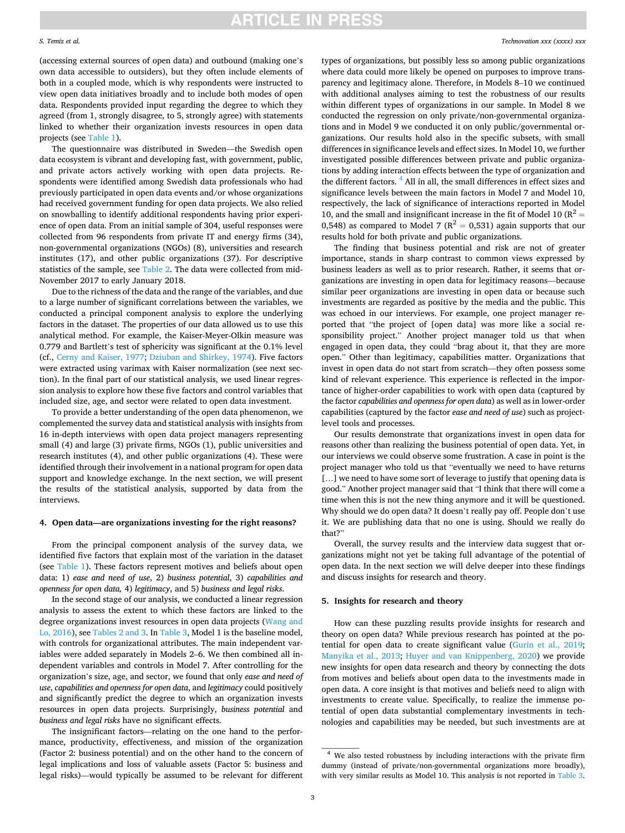#### *S. Temiz et al.*

(accessing external sources of open data) and outbound (making one's own data accessible to outsiders), but they often include elements of both in a coupled mode, which is why respondents were instructed to view open data initiatives broadly and to include both modes of open data. Respondents provided input regarding the degree to which they agreed (from 1, strongly disagree, to 5, strongly agree) with statements linked to whether their organization invests resources in open data projects (see [Table 1](#page-3-0)).

The questionnaire was distributed in Sweden—the Swedish open data ecosystem is vibrant and developing fast, with government, public, and private actors actively working with open data projects. Respondents were identified among Swedish data professionals who had previously participated in open data events and/or whose organizations had received government funding for open data projects. We also relied on snowballing to identify additional respondents having prior experience of open data. From an initial sample of 304, useful responses were collected from 96 respondents from private IT and energy firms (34), non-governmental organizations (NGOs) (8), universities and research institutes (17), and other public organizations (37). For descriptive statistics of the sample, see [Table 2](#page-3-0). The data were collected from mid-November 2017 to early January 2018.

Due to the richness of the data and the range of the variables, and due to a large number of significant correlations between the variables, we conducted a principal component analysis to explore the underlying factors in the dataset. The properties of our data allowed us to use this analytical method. For example, the Kaiser-Meyer-Olkin measure was 0.779 and Bartlett's test of sphericity was significant at the 0.1% level (cf., [Cerny and Kaiser, 1977;](#page-6-0) [Dziuban and Shirkey, 1974\)](#page-6-0). Five factors were extracted using varimax with Kaiser normalization (see next section). In the final part of our statistical analysis, we used linear regression analysis to explore how these five factors and control variables that included size, age, and sector were related to open data investment.

To provide a better understanding of the open data phenomenon, we complemented the survey data and statistical analysis with insights from 16 in-depth interviews with open data project managers representing small (4) and large (3) private firms, NGOs (1), public universities and research institutes (4), and other public organizations (4). These were identified through their involvement in a national program for open data support and knowledge exchange. In the next section, we will present the results of the statistical analysis, supported by data from the interviews.

#### **4. Open data—are organizations investing for the right reasons?**

From the principal component analysis of the survey data, we identified five factors that explain most of the variation in the dataset (see [Table 1\)](#page-3-0). These factors represent motives and beliefs about open data: 1) *ease and need of use*, 2) *business potential*, 3) *capabilities and openness for open data,* 4) *legitimacy*, and 5) *business and legal risks*.

In the second stage of our analysis, we conducted a linear regression analysis to assess the extent to which these factors are linked to the degree organizations invest resources in open data projects ([Wang and](#page-6-0)  [Lo, 2016](#page-6-0)), see [Tables 2 and 3](#page-3-0). In [Table 3](#page-4-0), Model 1 is the baseline model, with controls for organizational attributes. The main independent variables were added separately in Models 2–6. We then combined all independent variables and controls in Model 7. After controlling for the organization's size, age, and sector, we found that only *ease and need of use*, *capabilities and openness for open data*, and *legitimacy* could positively and significantly predict the degree to which an organization invests resources in open data projects. Surprisingly, *business potential* and *business and legal risks* have no significant effects.

The insignificant factors—relating on the one hand to the performance, productivity, effectiveness, and mission of the organization (Factor 2: business potential) and on the other hand to the concern of legal implications and loss of valuable assets (Factor 5: business and legal risks)—would typically be assumed to be relevant for different

types of organizations, but possibly less so among public organizations where data could more likely be opened on purposes to improve transparency and legitimacy alone. Therefore, in Models 8–10 we continued with additional analyses aiming to test the robustness of our results within different types of organizations in our sample. In Model 8 we conducted the regression on only private/non-governmental organizations and in Model 9 we conducted it on only public/governmental organizations. Our results hold also in the specific subsets, with small differences in significance levels and effect sizes. In Model 10, we further investigated possible differences between private and public organizations by adding interaction effects between the type of organization and the different factors. <sup>4</sup> All in all, the small differences in effect sizes and significance levels between the main factors in Model 7 and Model 10, respectively, the lack of significance of interactions reported in Model 10, and the small and insignificant increase in the fit of Model 10 ( $R^2$  = 0,548) as compared to Model 7 ( $R^2 = 0,531$ ) again supports that our results hold for both private and public organizations.

The finding that business potential and risk are not of greater importance, stands in sharp contrast to common views expressed by business leaders as well as to prior research. Rather, it seems that organizations are investing in open data for legitimacy reasons—because similar peer organizations are investing in open data or because such investments are regarded as positive by the media and the public. This was echoed in our interviews. For example, one project manager reported that "the project of [open data] was more like a social responsibility project." Another project manager told us that when engaged in open data, they could "brag about it, that they are more open." Other than legitimacy, capabilities matter. Organizations that invest in open data do not start from scratch—they often possess some kind of relevant experience. This experience is reflected in the importance of higher-order capabilities to work with open data (captured by the factor *capabilities and openness for open data*) as well as in lower-order capabilities (captured by the factor *ease and need of use*) such as projectlevel tools and processes.

Our results demonstrate that organizations invest in open data for reasons other than realizing the business potential of open data. Yet, in our interviews we could observe some frustration. A case in point is the project manager who told us that "eventually we need to have returns [...] we need to have some sort of leverage to justify that opening data is good." Another project manager said that "I think that there will come a time when this is not the new thing anymore and it will be questioned. Why should we do open data? It doesn't really pay off. People don't use it. We are publishing data that no one is using. Should we really do that?"

Overall, the survey results and the interview data suggest that organizations might not yet be taking full advantage of the potential of open data. In the next section we will delve deeper into these findings and discuss insights for research and theory.

#### **5. Insights for research and theory**

How can these puzzling results provide insights for research and theory on open data? While previous research has pointed at the potential for open data to create significant value ([Gurin et al., 2019](#page-6-0); [Manyika et al., 2013;](#page-6-0) [Huyer and van Knippenberg, 2020\)](#page-6-0) we provide new insights for open data research and theory by connecting the dots from motives and beliefs about open data to the investments made in open data. A core insight is that motives and beliefs need to align with investments to create value. Specifically, to realize the immense potential of open data substantial complementary investments in technologies and capabilities may be needed, but such investments are at

<sup>4</sup> We also tested robustness by including interactions with the private firm dummy (instead of private/non-governmental organizations more broadly), with very similar results as Model 10. This analysis is not reported in [Table 3.](#page-4-0)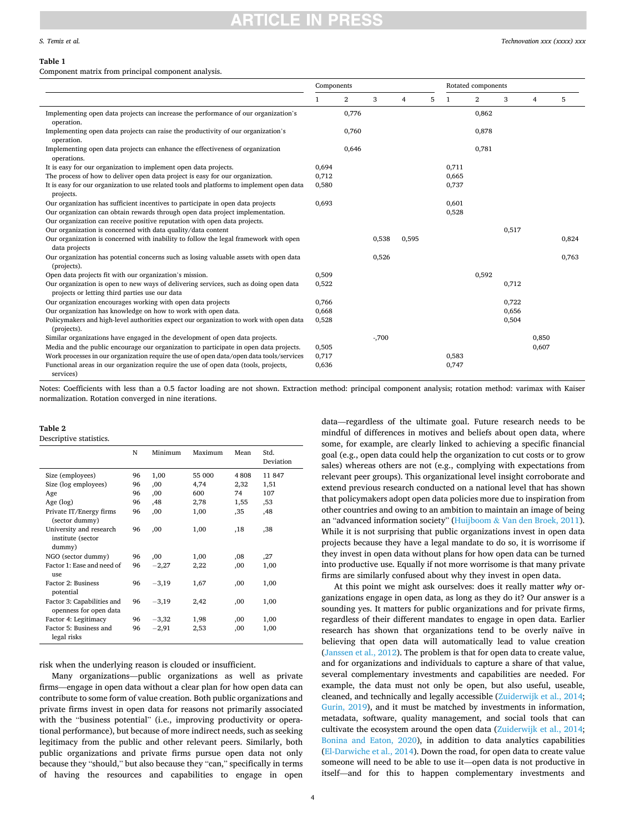#### <span id="page-3-0"></span>**Table 1**

Component matrix from principal component analysis.

|                                                                                                                                        | Components   |              |        |                |   | Rotated components |                |       |                |       |
|----------------------------------------------------------------------------------------------------------------------------------------|--------------|--------------|--------|----------------|---|--------------------|----------------|-------|----------------|-------|
|                                                                                                                                        | $\mathbf{1}$ | $\mathbf{2}$ | 3      | $\overline{4}$ | 5 | $\mathbf{1}$       | $\overline{2}$ | 3     | $\overline{4}$ | 5     |
| Implementing open data projects can increase the performance of our organization's                                                     |              | 0,776        |        |                |   |                    | 0,862          |       |                |       |
| operation.                                                                                                                             |              |              |        |                |   |                    |                |       |                |       |
| Implementing open data projects can raise the productivity of our organization's<br>operation.                                         |              | 0,760        |        |                |   |                    | 0,878          |       |                |       |
| Implementing open data projects can enhance the effectiveness of organization<br>operations.                                           |              | 0,646        |        |                |   |                    | 0,781          |       |                |       |
| It is easy for our organization to implement open data projects.                                                                       | 0,694        |              |        |                |   | 0,711              |                |       |                |       |
| The process of how to deliver open data project is easy for our organization.                                                          | 0,712        |              |        |                |   | 0.665              |                |       |                |       |
| It is easy for our organization to use related tools and platforms to implement open data<br>projects.                                 | 0,580        |              |        |                |   | 0,737              |                |       |                |       |
| Our organization has sufficient incentives to participate in open data projects                                                        | 0,693        |              |        |                |   | 0,601              |                |       |                |       |
| Our organization can obtain rewards through open data project implementation.                                                          |              |              |        |                |   | 0,528              |                |       |                |       |
| Our organization can receive positive reputation with open data projects.                                                              |              |              |        |                |   |                    |                |       |                |       |
| Our organization is concerned with data quality/data content                                                                           |              |              |        |                |   |                    |                | 0,517 |                |       |
| Our organization is concerned with inability to follow the legal framework with open                                                   |              |              | 0,538  | 0,595          |   |                    |                |       |                | 0,824 |
| data projects                                                                                                                          |              |              |        |                |   |                    |                |       |                |       |
| Our organization has potential concerns such as losing valuable assets with open data                                                  |              |              | 0,526  |                |   |                    |                |       |                | 0,763 |
| (projects).                                                                                                                            |              |              |        |                |   |                    |                |       |                |       |
| Open data projects fit with our organization's mission.                                                                                | 0,509        |              |        |                |   |                    | 0,592          |       |                |       |
| Our organization is open to new ways of delivering services, such as doing open data<br>projects or letting third parties use our data | 0,522        |              |        |                |   |                    |                | 0,712 |                |       |
| Our organization encourages working with open data projects                                                                            | 0,766        |              |        |                |   |                    |                | 0,722 |                |       |
| Our organization has knowledge on how to work with open data.                                                                          | 0,668        |              |        |                |   |                    |                | 0,656 |                |       |
| Policymakers and high-level authorities expect our organization to work with open data<br>(projects).                                  | 0,528        |              |        |                |   |                    |                | 0,504 |                |       |
| Similar organizations have engaged in the development of open data projects.                                                           |              |              | $-700$ |                |   |                    |                |       | 0.850          |       |
| Media and the public encourage our organization to participate in open data projects.                                                  | 0,505        |              |        |                |   |                    |                |       | 0,607          |       |
| Work processes in our organization require the use of open data/open data tools/services                                               | 0,717        |              |        |                |   | 0,583              |                |       |                |       |
| Functional areas in our organization require the use of open data (tools, projects,<br>services)                                       | 0,636        |              |        |                |   | 0,747              |                |       |                |       |

Notes: Coefficients with less than a 0.5 factor loading are not shown. Extraction method: principal component analysis; rotation method: varimax with Kaiser normalization. Rotation converged in nine iterations.

#### **Table 2**

Descriptive statistics.

|                                                        | N  | Minimum | Maximum | Mean | Std.<br>Deviation |
|--------------------------------------------------------|----|---------|---------|------|-------------------|
| Size (employees)                                       | 96 | 1,00    | 55 000  | 4808 | 11 847            |
| Size (log employees)                                   | 96 | .00     | 4,74    | 2,32 | 1,51              |
| Age                                                    | 96 | .00     | 600     | 74   | 107               |
| Age $(log)$                                            | 96 | .48     | 2,78    | 1,55 | ,53               |
| Private IT/Energy firms<br>(sector dummy)              | 96 | ,00     | 1,00    | ,35  | .48               |
| University and research<br>institute (sector<br>dummy) | 96 | ,00     | 1,00    | ,18  | .38               |
| NGO (sector dummy)                                     | 96 | ,00     | 1,00    | .08  | ,27               |
| Factor 1: Ease and need of<br>11Se                     | 96 | $-2,27$ | 2,22    | ,00  | 1,00              |
| Factor 2: Business<br>potential                        | 96 | $-3,19$ | 1,67    | ,00  | 1,00              |
| Factor 3: Capabilities and<br>openness for open data   | 96 | $-3,19$ | 2,42    | ,00  | 1,00              |
| Factor 4: Legitimacy                                   | 96 | $-3,32$ | 1,98    | ,00  | 1,00              |
| Factor 5: Business and<br>legal risks                  | 96 | $-2,91$ | 2,53    | ,00  | 1,00              |

risk when the underlying reason is clouded or insufficient.

Many organizations—public organizations as well as private firms—engage in open data without a clear plan for how open data can contribute to some form of value creation. Both public organizations and private firms invest in open data for reasons not primarily associated with the "business potential" (i.e., improving productivity or operational performance), but because of more indirect needs, such as seeking legitimacy from the public and other relevant peers. Similarly, both public organizations and private firms pursue open data not only because they "should," but also because they "can," specifically in terms of having the resources and capabilities to engage in open

data—regardless of the ultimate goal. Future research needs to be mindful of differences in motives and beliefs about open data, where some, for example, are clearly linked to achieving a specific financial goal (e.g., open data could help the organization to cut costs or to grow sales) whereas others are not (e.g., complying with expectations from relevant peer groups). This organizational level insight corroborate and extend previous research conducted on a national level that has shown that policymakers adopt open data policies more due to inspiration from other countries and owing to an ambition to maintain an image of being an "advanced information society" (Huijboom & [Van den Broek, 2011](#page-6-0)). While it is not surprising that public organizations invest in open data projects because they have a legal mandate to do so, it is worrisome if they invest in open data without plans for how open data can be turned into productive use. Equally if not more worrisome is that many private firms are similarly confused about why they invest in open data.

At this point we might ask ourselves: does it really matter *why* organizations engage in open data, as long as they do it? Our answer is a sounding yes. It matters for public organizations and for private firms, regardless of their different mandates to engage in open data. Earlier research has shown that organizations tend to be overly naïve in believing that open data will automatically lead to value creation ([Janssen et al., 2012](#page-6-0)). The problem is that for open data to create value, and for organizations and individuals to capture a share of that value, several complementary investments and capabilities are needed. For example, the data must not only be open, but also useful, useable, cleaned, and technically and legally accessible [\(Zuiderwijk et al., 2014](#page-6-0); [Gurin, 2019\)](#page-6-0), and it must be matched by investments in information, metadata, software, quality management, and social tools that can cultivate the ecosystem around the open data ([Zuiderwijk et al., 2014](#page-6-0); [Bonina and Eaton, 2020](#page-6-0)), in addition to data analytics capabilities ([El-Darwiche et al., 2014](#page-6-0)). Down the road, for open data to create value someone will need to be able to use it—open data is not productive in itself—and for this to happen complementary investments and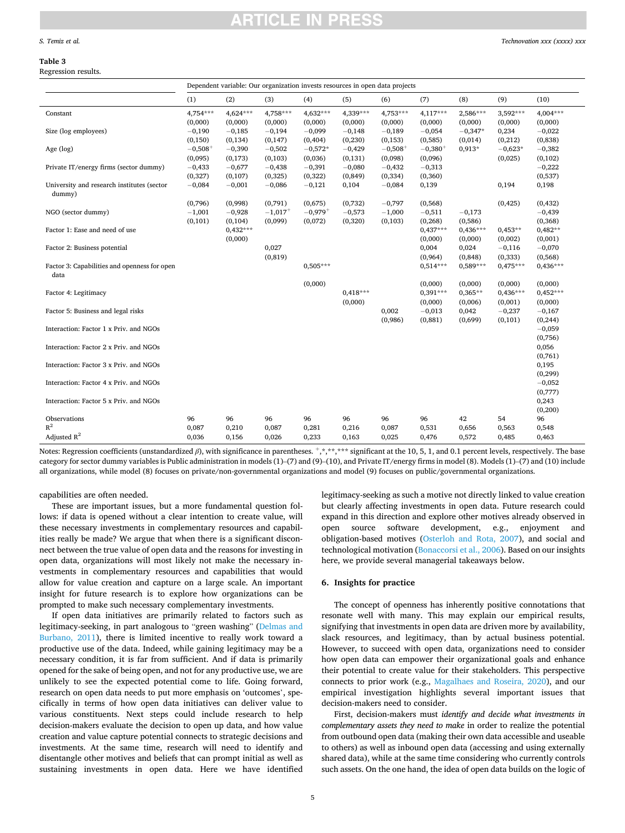# TICI E IN

#### <span id="page-4-0"></span>**Table 3**

Regression results.

|                                                      | Dependent variable: Our organization invests resources in open data projects |            |                       |            |            |              |            |            |            |            |
|------------------------------------------------------|------------------------------------------------------------------------------|------------|-----------------------|------------|------------|--------------|------------|------------|------------|------------|
|                                                      | (1)                                                                          | (2)        | (3)                   | (4)        | (5)        | (6)          | (7)        | (8)        | (9)        | (10)       |
| Constant                                             | 4,754***                                                                     | 4,624***   | 4,758***              | $4.632***$ | 4,339***   | $4,753***$   | $4,117***$ | 2,586***   | 3,592***   | 4,004***   |
|                                                      | (0,000)                                                                      | (0,000)    | (0,000)               | (0,000)    | (0,000)    | (0,000)      | (0,000)    | (0,000)    | (0,000)    | (0,000)    |
| Size (log employees)                                 | $-0,190$                                                                     | $-0,185$   | $-0,194$              | $-0,099$   | $-0,148$   | $-0,189$     | $-0,054$   | $-0,347*$  | 0,234      | $-0,022$   |
|                                                      | (0, 150)                                                                     | (0, 134)   | (0, 147)              | (0, 404)   | (0, 230)   | (0, 153)     | (0,585)    | (0,014)    | (0,212)    | (0, 838)   |
| Age (log)                                            | $-0,508+$                                                                    | $-0,390$   | $-0,502$              | $-0,572*$  | $-0,429$   | $-0,508^{+}$ | $-0,380+$  | 0,913*     | $-0.623*$  | $-0,382$   |
|                                                      | (0,095)                                                                      | (0,173)    | (0, 103)              | (0,036)    | (0, 131)   | (0,098)      | (0,096)    |            | (0,025)    | (0, 102)   |
| Private IT/energy firms (sector dummy)               | $-0,433$                                                                     | $-0,677$   | $-0,438$              | $-0,391$   | $-0,080$   | $-0,432$     | $-0,313$   |            |            | $-0,222$   |
|                                                      | (0, 327)                                                                     | (0, 107)   | (0, 325)              | (0,322)    | (0, 849)   | (0, 334)     | (0, 360)   |            |            | (0,537)    |
| University and research institutes (sector<br>dummy) | $-0,084$                                                                     | $-0,001$   | $-0,086$              | $-0,121$   | 0,104      | $-0,084$     | 0,139      |            | 0,194      | 0,198      |
|                                                      | (0,796)                                                                      | (0,998)    | (0,791)               | (0,675)    | (0,732)    | $-0,797$     | (0,568)    |            | (0, 425)   | (0, 432)   |
| NGO (sector dummy)                                   | $-1,001$                                                                     | $-0,928$   | $-1,017$ <sup>+</sup> | $-0,979+$  | $-0,573$   | $-1,000$     | $-0,511$   | $-0,173$   |            | $-0,439$   |
|                                                      | (0, 101)                                                                     | (0, 104)   | (0,099)               | (0,072)    | (0, 320)   | (0, 103)     | (0, 268)   | (0,586)    |            | (0, 368)   |
| Factor 1: Ease and need of use                       |                                                                              | $0,432***$ |                       |            |            |              | $0,437***$ | $0,436***$ | $0,453**$  | $0,482**$  |
|                                                      |                                                                              | (0,000)    |                       |            |            |              | (0,000)    | (0,000)    | (0,002)    | (0,001)    |
| Factor 2: Business potential                         |                                                                              |            | 0,027                 |            |            |              | 0,004      | 0,024      | $-0,116$   | $-0,070$   |
|                                                      |                                                                              |            | (0, 819)              |            |            |              | (0,964)    | (0, 848)   | (0, 333)   | (0, 568)   |
| Factor 3: Capabilities and openness for open<br>data |                                                                              |            |                       | $0.505***$ |            |              | $0,514***$ | 0,589***   | $0,475***$ | $0,436***$ |
|                                                      |                                                                              |            |                       | (0,000)    |            |              | (0,000)    | (0,000)    | (0,000)    | (0,000)    |
| Factor 4: Legitimacy                                 |                                                                              |            |                       |            | $0,418***$ |              | $0,391***$ | $0,365**$  | $0,436***$ | $0,452***$ |
|                                                      |                                                                              |            |                       |            | (0,000)    |              | (0,000)    | (0,006)    | (0,001)    | (0,000)    |
| Factor 5: Business and legal risks                   |                                                                              |            |                       |            |            | 0,002        | $-0,013$   | 0,042      | $-0,237$   | $-0,167$   |
|                                                      |                                                                              |            |                       |            |            | (0,986)      | (0, 881)   | (0,699)    | (0, 101)   | (0, 244)   |
| Interaction: Factor 1 x Priv. and NGOs               |                                                                              |            |                       |            |            |              |            |            |            | $-0,059$   |
|                                                      |                                                                              |            |                       |            |            |              |            |            |            | (0,756)    |
| Interaction: Factor 2 x Priv. and NGOs               |                                                                              |            |                       |            |            |              |            |            |            | 0,056      |
|                                                      |                                                                              |            |                       |            |            |              |            |            |            | (0,761)    |
| Interaction: Factor 3 x Priv. and NGOs               |                                                                              |            |                       |            |            |              |            |            |            | 0,195      |
|                                                      |                                                                              |            |                       |            |            |              |            |            |            | (0, 299)   |
| Interaction: Factor 4 x Priv. and NGOs               |                                                                              |            |                       |            |            |              |            |            |            | $-0,052$   |
|                                                      |                                                                              |            |                       |            |            |              |            |            |            | (0,777)    |
| Interaction: Factor 5 x Priv. and NGOs               |                                                                              |            |                       |            |            |              |            |            |            | 0,243      |
|                                                      |                                                                              |            |                       |            |            |              |            |            |            | (0, 200)   |
| Observations                                         | 96                                                                           | 96         | 96                    | 96         | 96         | 96           | 96         | 42         | 54         | 96         |
| $R^2$                                                | 0,087                                                                        | 0,210      | 0,087                 | 0,281      | 0,216      | 0,087        | 0,531      | 0,656      | 0,563      | 0,548      |
| Adjusted $R^2$                                       | 0,036                                                                        | 0,156      | 0,026                 | 0,233      | 0,163      | 0,025        | 0,476      | 0,572      | 0,485      | 0,463      |

Notes: Regression coefficients (unstandardized *β*), with significance in parentheses.  $+,*,*,*,*,*$  significant at the 10, 5, 1, and 0.1 percent levels, respectively. The base category for sector dummy variables is Public administration in models (1)–(7) and (9)–(10), and Private IT/energy firms in model (8). Models (1)–(7) and (10) include all organizations, while model (8) focuses on private/non-governmental organizations and model (9) focuses on public/governmental organizations.

capabilities are often needed.

These are important issues, but a more fundamental question follows: if data is opened without a clear intention to create value, will these necessary investments in complementary resources and capabilities really be made? We argue that when there is a significant disconnect between the true value of open data and the reasons for investing in open data, organizations will most likely not make the necessary investments in complementary resources and capabilities that would allow for value creation and capture on a large scale. An important insight for future research is to explore how organizations can be prompted to make such necessary complementary investments.

If open data initiatives are primarily related to factors such as legitimacy-seeking, in part analogous to "green washing" [\(Delmas and](#page-6-0)  [Burbano, 2011\)](#page-6-0), there is limited incentive to really work toward a productive use of the data. Indeed, while gaining legitimacy may be a necessary condition, it is far from sufficient. And if data is primarily opened for the sake of being open, and not for any productive use, we are unlikely to see the expected potential come to life. Going forward, research on open data needs to put more emphasis on 'outcomes', specifically in terms of how open data initiatives can deliver value to various constituents. Next steps could include research to help decision-makers evaluate the decision to open up data, and how value creation and value capture potential connects to strategic decisions and investments. At the same time, research will need to identify and disentangle other motives and beliefs that can prompt initial as well as sustaining investments in open data. Here we have identified

legitimacy-seeking as such a motive not directly linked to value creation but clearly affecting investments in open data. Future research could expand in this direction and explore other motives already observed in open source software development, e.g., enjoyment and obligation-based motives [\(Osterloh and Rota, 2007\)](#page-6-0), and social and technological motivation ([Bonaccorsi et al., 2006](#page-6-0)). Based on our insights here, we provide several managerial takeaways below.

#### **6. Insights for practice**

The concept of openness has inherently positive connotations that resonate well with many. This may explain our empirical results, signifying that investments in open data are driven more by availability, slack resources, and legitimacy, than by actual business potential. However, to succeed with open data, organizations need to consider how open data can empower their organizational goals and enhance their potential to create value for their stakeholders. This perspective connects to prior work (e.g., [Magalhaes and Roseira, 2020\)](#page-6-0), and our empirical investigation highlights several important issues that decision-makers need to consider.

First, decision-makers must *identify and decide what investments in complementary assets they need to make* in order to realize the potential from outbound open data (making their own data accessible and useable to others) as well as inbound open data (accessing and using externally shared data), while at the same time considering who currently controls such assets. On the one hand, the idea of open data builds on the logic of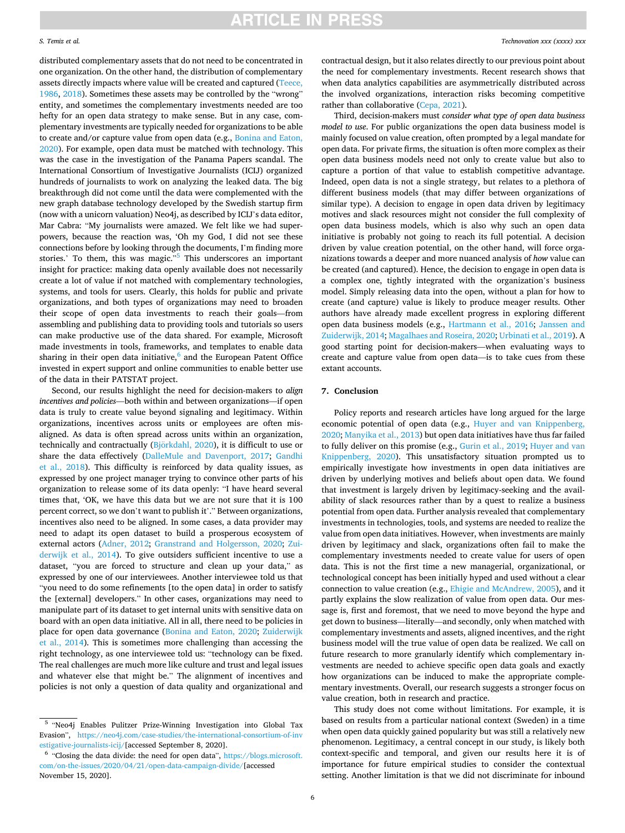#### *S. Temiz et al.*

distributed complementary assets that do not need to be concentrated in one organization. On the other hand, the distribution of complementary assets directly impacts where value will be created and captured [\(Teece,](#page-6-0)  [1986, 2018\)](#page-6-0). Sometimes these assets may be controlled by the "wrong" entity, and sometimes the complementary investments needed are too hefty for an open data strategy to make sense. But in any case, complementary investments are typically needed for organizations to be able to create and/or capture value from open data (e.g., [Bonina and Eaton,](#page-6-0)  [2020\)](#page-6-0). For example, open data must be matched with technology. This was the case in the investigation of the Panama Papers scandal. The International Consortium of Investigative Journalists (ICIJ) organized hundreds of journalists to work on analyzing the leaked data. The big breakthrough did not come until the data were complemented with the new graph database technology developed by the Swedish startup firm (now with a unicorn valuation) Neo4j, as described by ICIJ's data editor, Mar Cabra: "My journalists were amazed. We felt like we had superpowers, because the reaction was, 'Oh my God, I did not see these connections before by looking through the documents, I'm finding more stories.' To them, this was magic."<sup>5</sup> This underscores an important insight for practice: making data openly available does not necessarily create a lot of value if not matched with complementary technologies, systems, and tools for users. Clearly, this holds for public and private organizations, and both types of organizations may need to broaden their scope of open data investments to reach their goals—from assembling and publishing data to providing tools and tutorials so users can make productive use of the data shared. For example, Microsoft made investments in tools, frameworks, and templates to enable data sharing in their open data initiative, $6$  and the European Patent Office invested in expert support and online communities to enable better use of the data in their PATSTAT project.

Second, our results highlight the need for decision-makers to *align incentives and policies*—both within and between organizations—if open data is truly to create value beyond signaling and legitimacy. Within organizations, incentives across units or employees are often misaligned. As data is often spread across units within an organization, technically and contractually  $(Bjorkdahl, 2020)$  $(Bjorkdahl, 2020)$ , it is difficult to use or share the data effectively ([DalleMule and Davenport, 2017;](#page-6-0) [Gandhi](#page-6-0)  [et al., 2018\)](#page-6-0). This difficulty is reinforced by data quality issues, as expressed by one project manager trying to convince other parts of his organization to release some of its data openly: "I have heard several times that, 'OK, we have this data but we are not sure that it is 100 percent correct, so we don't want to publish it'." Between organizations, incentives also need to be aligned. In some cases, a data provider may need to adapt its open dataset to build a prosperous ecosystem of external actors ([Adner, 2012;](#page-6-0) [Granstrand and Holgersson, 2020](#page-6-0); [Zui](#page-6-0)[derwijk et al., 2014\)](#page-6-0). To give outsiders sufficient incentive to use a dataset, "you are forced to structure and clean up your data," as expressed by one of our interviewees. Another interviewee told us that "you need to do some refinements [to the open data] in order to satisfy the [external] developers." In other cases, organizations may need to manipulate part of its dataset to get internal units with sensitive data on board with an open data initiative. All in all, there need to be policies in place for open data governance ([Bonina and Eaton, 2020](#page-6-0); [Zuiderwijk](#page-6-0)  [et al., 2014\)](#page-6-0). This is sometimes more challenging than accessing the right technology, as one interviewee told us: "technology can be fixed. The real challenges are much more like culture and trust and legal issues and whatever else that might be." The alignment of incentives and policies is not only a question of data quality and organizational and contractual design, but it also relates directly to our previous point about the need for complementary investments. Recent research shows that when data analytics capabilities are asymmetrically distributed across the involved organizations, interaction risks becoming competitive rather than collaborative [\(Cepa, 2021](#page-6-0)).

Third, decision-makers must *consider what type of open data business model to use*. For public organizations the open data business model is mainly focused on value creation, often prompted by a legal mandate for open data. For private firms, the situation is often more complex as their open data business models need not only to create value but also to capture a portion of that value to establish competitive advantage. Indeed, open data is not a single strategy, but relates to a plethora of different business models (that may differ between organizations of similar type). A decision to engage in open data driven by legitimacy motives and slack resources might not consider the full complexity of open data business models, which is also why such an open data initiative is probably not going to reach its full potential. A decision driven by value creation potential, on the other hand, will force organizations towards a deeper and more nuanced analysis of *how* value can be created (and captured). Hence, the decision to engage in open data is a complex one, tightly integrated with the organization's business model. Simply releasing data into the open, without a plan for how to create (and capture) value is likely to produce meager results. Other authors have already made excellent progress in exploring different open data business models (e.g., [Hartmann et al., 2016;](#page-6-0) [Janssen and](#page-6-0)  [Zuiderwijk, 2014; Magalhaes and Roseira, 2020](#page-6-0); [Urbinati et al., 2019](#page-6-0)). A good starting point for decision-makers—when evaluating ways to create and capture value from open data—is to take cues from these extant accounts.

#### **7. Conclusion**

Policy reports and research articles have long argued for the large economic potential of open data (e.g., [Huyer and van Knippenberg,](#page-6-0)  [2020; Manyika et al., 2013\)](#page-6-0) but open data initiatives have thus far failed to fully deliver on this promise (e.g., [Gurin et al., 2019; Huyer and van](#page-6-0)  [Knippenberg, 2020\)](#page-6-0). This unsatisfactory situation prompted us to empirically investigate how investments in open data initiatives are driven by underlying motives and beliefs about open data. We found that investment is largely driven by legitimacy-seeking and the availability of slack resources rather than by a quest to realize a business potential from open data. Further analysis revealed that complementary investments in technologies, tools, and systems are needed to realize the value from open data initiatives. However, when investments are mainly driven by legitimacy and slack, organizations often fail to make the complementary investments needed to create value for users of open data. This is not the first time a new managerial, organizational, or technological concept has been initially hyped and used without a clear connection to value creation (e.g., [Ehigie and McAndrew, 2005\)](#page-6-0), and it partly explains the slow realization of value from open data. Our message is, first and foremost, that we need to move beyond the hype and get down to business—literally—and secondly, only when matched with complementary investments and assets, aligned incentives, and the right business model will the true value of open data be realized. We call on future research to more granularly identify which complementary investments are needed to achieve specific open data goals and exactly how organizations can be induced to make the appropriate complementary investments. Overall, our research suggests a stronger focus on value creation, both in research and practice.

This study does not come without limitations. For example, it is based on results from a particular national context (Sweden) in a time when open data quickly gained popularity but was still a relatively new phenomenon. Legitimacy, a central concept in our study, is likely both context-specific and temporal, and given our results here it is of importance for future empirical studies to consider the contextual setting. Another limitation is that we did not discriminate for inbound

<sup>&</sup>lt;sup>5</sup> "Neo4j Enables Pulitzer Prize-Winning Investigation into Global Tax Evasion", [https://neo4j.com/case-studies/the-international-consortium-of-inv](https://neo4j.com/case-studies/the-international-consortium-of-investigative-journalists-icij/)  [estigative-journalists-icij/\[](https://neo4j.com/case-studies/the-international-consortium-of-investigative-journalists-icij/)accessed September 8, 2020]. 6 "Closing the data divide: the need for open data", [https://blogs.microsoft.](https://blogs.microsoft.com/on-the-issues/2020/04/21/open-data-campaign-divide/) 

[com/on-the-issues/2020/04/21/open-data-campaign-divide/\[](https://blogs.microsoft.com/on-the-issues/2020/04/21/open-data-campaign-divide/)accessed November 15, 2020].